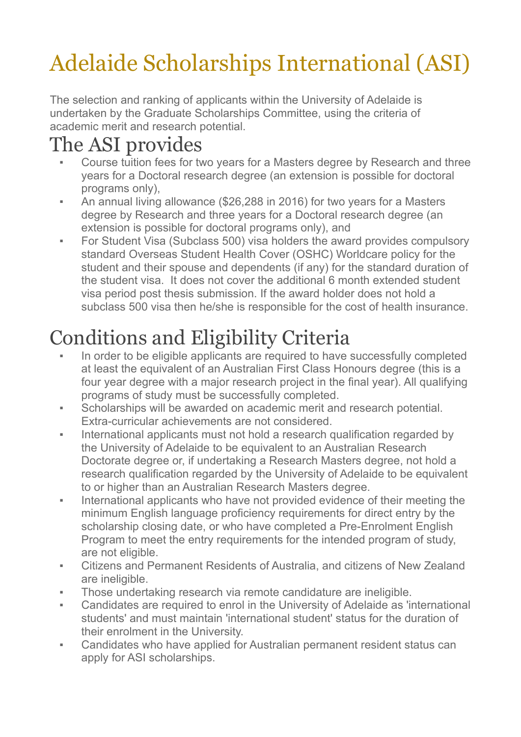# Adelaide Scholarships International (ASI)

The selection and ranking of applicants within the University of Adelaide is undertaken by the Graduate Scholarships Committee, using the criteria of academic merit and research potential.

### The ASI provides

- Course tuition fees for two vears for a Masters degree by Research and three years for a Doctoral research degree (an extension is possible for doctoral programs only),
- An annual living allowance (\$26,288 in 2016) for two years for a Masters degree by Research and three years for a Doctoral research degree (an extension is possible for doctoral programs only), and
- For Student Visa (Subclass 500) visa holders the award provides compulsorv standard Overseas Student Health Cover (OSHC) Worldcare policy for the student and their spouse and dependents (if any) for the standard duration of the student visa. It does not cover the additional 6 month extended student visa period post thesis submission. If the award holder does not hold a subclass 500 visa then he/she is responsible for the cost of health insurance.

## Conditions and Eligibility Criteria

- In order to be eligible applicants are required to have successfully completed at least the equivalent of an Australian First Class Honours degree (this is a four year degree with a major research project in the final year). All qualifying programs of study must be successfully completed.
- Scholarships will be awarded on academic merit and research potential. Extra-curricular achievements are not considered.
- **EXED** International applicants must not hold a research qualification regarded by the University of Adelaide to be equivalent to an Australian Research Doctorate degree or, if undertaking a Research Masters degree, not hold a research qualification regarded by the University of Adelaide to be equivalent to or higher than an Australian Research Masters degree.
- **EXED** International applicants who have not provided evidence of their meeting the minimum English language proficiency requirements for direct entry by the scholarship closing date, or who have completed a Pre-Enrolment English Program to meet the entry requirements for the intended program of study, are not eligible.
- Citizens and Permanent Residents of Australia, and citizens of New Zealand are ineligible.
- Those undertaking research via remote candidature are ineligible.
- Candidates are required to enrol in the University of Adelaide as 'international students' and must maintain 'international student' status for the duration of their enrolment in the University.
- Candidates who have applied for Australian permanent resident status can apply for ASI scholarships.